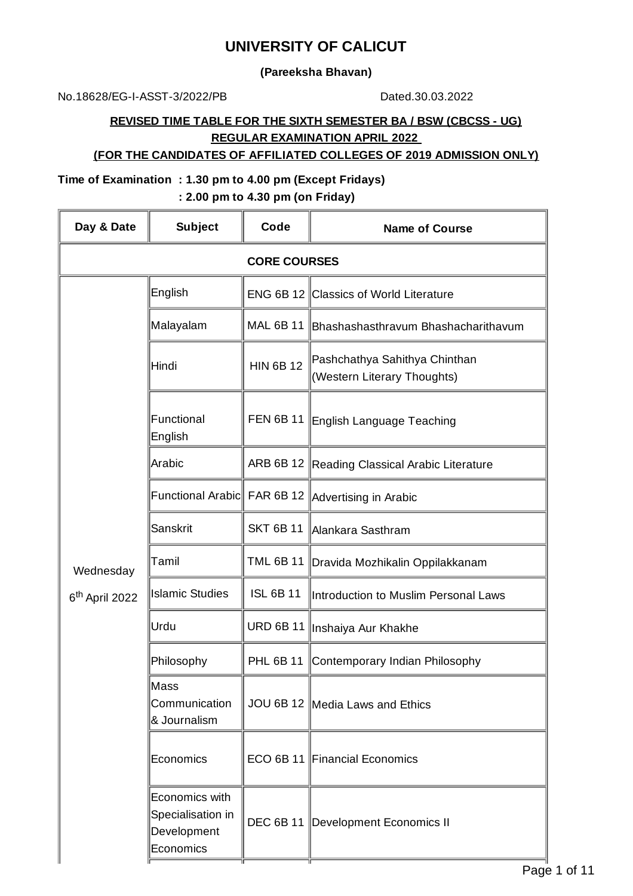# **UNIVERSITY OF CALICUT**

**(Pareeksha Bhavan)**

No.18628/EG-I-ASST-3/2022/PB Dated.30.03.2022

## **REVISED TIME TABLE FOR THE SIXTH SEMESTER BA / BSW (CBCSS - UG) REGULAR EXAMINATION APRIL 2022**

#### **(FOR THE CANDIDATES OF AFFILIATED COLLEGES OF 2019 ADMISSION ONLY)**

#### **Time of Examination : 1.30 pm to 4.00 pm (Except Fridays)**

**: 2.00 pm to 4.30 pm (on Friday)**

| Day & Date                 | <b>Subject</b>                                                  | Code                | <b>Name of Course</b>                                        |
|----------------------------|-----------------------------------------------------------------|---------------------|--------------------------------------------------------------|
|                            |                                                                 | <b>CORE COURSES</b> |                                                              |
|                            | English                                                         |                     | ENG 6B 12 Classics of World Literature                       |
|                            | Malayalam                                                       |                     | MAL 6B 11 Bhashashasthravum Bhashacharithavum                |
|                            | Hindi                                                           | <b>HIN 6B 12</b>    | Pashchathya Sahithya Chinthan<br>(Western Literary Thoughts) |
|                            | Functional<br>English                                           |                     | FEN 6B 11 English Language Teaching                          |
|                            | Arabic                                                          |                     | ARB 6B 12 Reading Classical Arabic Literature                |
|                            |                                                                 |                     | Functional Arabic FAR 6B 12   Advertising in Arabic          |
|                            | Sanskrit                                                        | <b>SKT 6B 11</b>    | Alankara Sasthram                                            |
| Wednesday                  | Tamil                                                           |                     | TML 6B 11   Dravida Mozhikalin Oppilakkanam                  |
| 6 <sup>th</sup> April 2022 | <b>Islamic Studies</b>                                          | <b>ISL 6B 11</b>    | Introduction to Muslim Personal Laws                         |
|                            | Urdu                                                            |                     | URD 6B 11   Inshaiya Aur Khakhe                              |
|                            | Philosophy                                                      |                     | PHL 6B 11 Contemporary Indian Philosophy                     |
|                            | ∥Mass<br>Communication<br>& Journalism                          |                     | JOU 6B 12   Media Laws and Ethics                            |
|                            | Economics                                                       |                     | ECO 6B 11 Financial Economics                                |
|                            | Economics with<br>Specialisation in<br>Development<br>Economics |                     | DEC 6B 11  Development Economics II                          |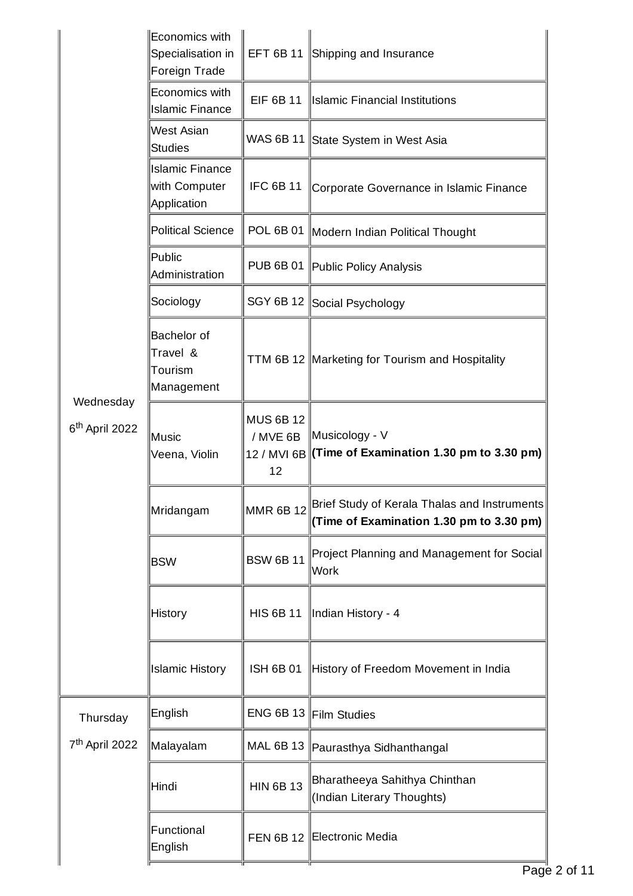|                                         | Economics with<br>Specialisation in<br>Foreign Trade    |                                    | EFT 6B 11 Shipping and Insurance                                                         |
|-----------------------------------------|---------------------------------------------------------|------------------------------------|------------------------------------------------------------------------------------------|
|                                         | Economics with<br><b>Islamic Finance</b>                | <b>EIF 6B 11</b>                   | Islamic Financial Institutions                                                           |
|                                         | West Asian<br><b>Studies</b>                            |                                    | WAS 6B 11 State System in West Asia                                                      |
|                                         | <b>Islamic Finance</b><br>with Computer<br>Application  | <b>IFC 6B 11</b>                   | Corporate Governance in Islamic Finance                                                  |
|                                         | <b>Political Science</b>                                |                                    | POL 6B 01    Modern Indian Political Thought                                             |
|                                         | Public<br>Administration                                |                                    | PUB 6B 01   Public Policy Analysis                                                       |
|                                         | Sociology                                               | SGY 6B 12                          | Social Psychology                                                                        |
|                                         | <b>Bachelor</b> of<br>Travel &<br>Tourism<br>Management |                                    | TTM 6B 12 Marketing for Tourism and Hospitality                                          |
| Wednesday<br>6 <sup>th</sup> April 2022 | Music<br>Veena, Violin                                  | <b>MUS 6B 12</b><br>/ MVE 6B<br>12 | Musicology - V<br>$12$ / MVI 6B (Time of Examination 1.30 pm to 3.30 pm)                 |
|                                         | Mridangam                                               | <b>MMR 6B 12</b>                   | Brief Study of Kerala Thalas and Instruments<br>(Time of Examination 1.30 pm to 3.30 pm) |
|                                         | <b>BSW</b>                                              | <b>BSW 6B 11</b>                   | Project Planning and Management for Social<br>Work                                       |
|                                         | <b>History</b>                                          | <b>HIS 6B 11</b>                   | Indian History - 4                                                                       |
|                                         | <b>Islamic History</b>                                  | <b>ISH 6B 01</b>                   | History of Freedom Movement in India                                                     |
| Thursday                                | English                                                 |                                    | ENG 6B 13 Film Studies                                                                   |
| 7 <sup>th</sup> April 2022              | Malayalam                                               | MAL 6B 13                          | Paurasthya Sidhanthangal                                                                 |
|                                         | Hindi                                                   | <b>HIN 6B 13</b>                   | Bharatheeya Sahithya Chinthan<br>(Indian Literary Thoughts)                              |
|                                         | Functional<br>English                                   |                                    | FEN 6B 12 Electronic Media                                                               |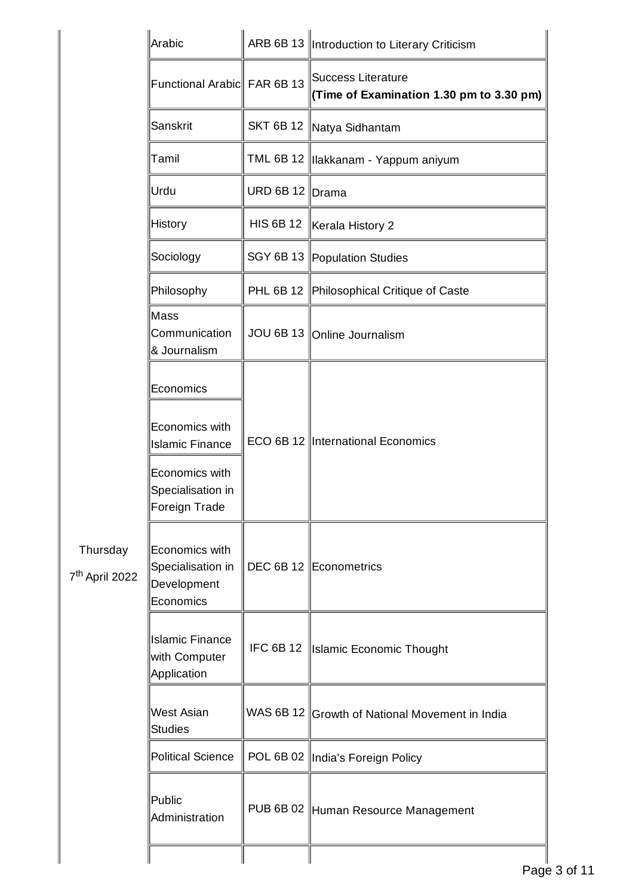|                                        | Arabic                                                          |                  | ARB 6B 13  Introduction to Literary Criticism                  |
|----------------------------------------|-----------------------------------------------------------------|------------------|----------------------------------------------------------------|
|                                        | Functional Arabic FAR 6B 13                                     |                  | Success Literature<br>(Time of Examination 1.30 pm to 3.30 pm) |
|                                        | Sanskrit                                                        | <b>SKT 6B 12</b> | Natya Sidhantam                                                |
|                                        | Tamil                                                           |                  | TML 6B 12   Ilakkanam - Yappum aniyum                          |
|                                        | Urdu                                                            | <b>URD 6B 12</b> | <b>Drama</b>                                                   |
|                                        | <b>History</b>                                                  | <b>HIS 6B 12</b> | Kerala History 2                                               |
|                                        | Sociology                                                       |                  | SGY 6B 13 Population Studies                                   |
|                                        | Philosophy                                                      |                  | PHL 6B 12 Philosophical Critique of Caste                      |
|                                        | Mass<br>Communication<br>& Journalism                           |                  | JOU 6B 13   Online Journalism                                  |
|                                        | Economics                                                       |                  | ECO 6B 12 International Economics                              |
|                                        | Economics with<br><b>Islamic Finance</b>                        |                  |                                                                |
|                                        | Economics with<br>Specialisation in<br>Foreign Trade            |                  |                                                                |
| Thursday<br>7 <sup>th</sup> April 2022 | Economics with<br>Specialisation in<br>Development<br>Economics |                  | DEC 6B 12 Econometrics                                         |
|                                        | <b>Islamic Finance</b><br>with Computer<br><b>Application</b>   |                  | IFC 6B 12   Islamic Economic Thought                           |
|                                        | <b>West Asian</b><br><b>Studies</b>                             |                  | WAS 6B 12 Growth of National Movement in India                 |
|                                        | Political Science                                               |                  | POL 6B 02   India's Foreign Policy                             |
|                                        | Public<br>Administration                                        |                  | PUB 6B 02 Human Resource Management                            |
|                                        |                                                                 |                  |                                                                |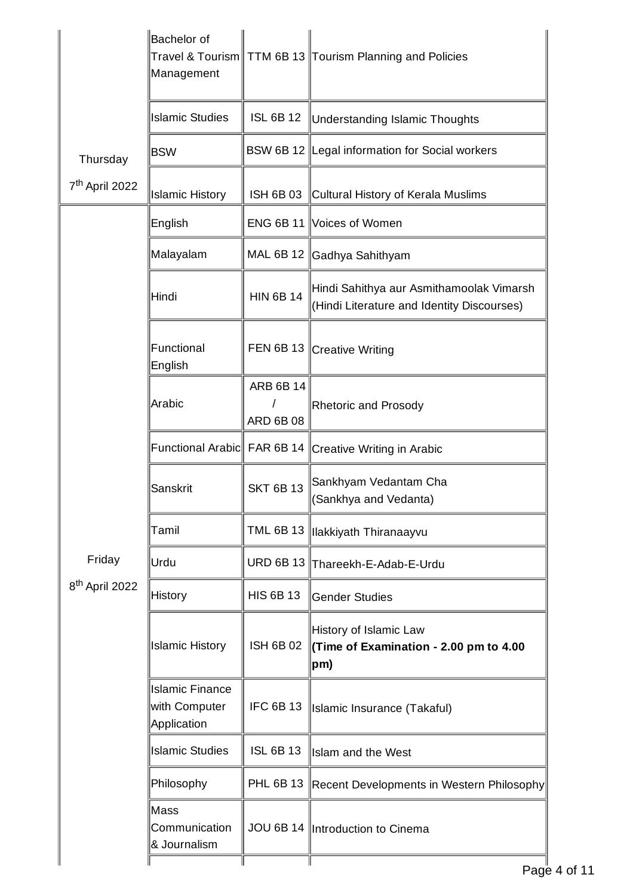| <b>Bachelor</b> of<br>Management                       |                                      | Travel & Tourism   TTM 6B 13   Tourism Planning and Policies                           |
|--------------------------------------------------------|--------------------------------------|----------------------------------------------------------------------------------------|
| <b>Islamic Studies</b>                                 | <b>ISL 6B 12</b>                     | Understanding Islamic Thoughts                                                         |
| <b>BSW</b>                                             |                                      | BSW 6B 12 Legal information for Social workers                                         |
| Islamic History                                        |                                      | ISH 6B 03 Cultural History of Kerala Muslims                                           |
| English                                                |                                      | ENG 6B 11 Voices of Women                                                              |
| Malayalam                                              |                                      | MAL 6B 12 Gadhya Sahithyam                                                             |
| Hindi                                                  | <b>HIN 6B 14</b>                     | Hindi Sahithya aur Asmithamoolak Vimarsh<br>(Hindi Literature and Identity Discourses) |
| Functional<br>English                                  |                                      | FEN 6B 13 Creative Writing                                                             |
| Arabic                                                 | <b>ARB 6B 14</b><br><b>ARD 6B 08</b> | <b>Rhetoric and Prosody</b>                                                            |
|                                                        |                                      | Creative Writing in Arabic                                                             |
| Sanskrit                                               | <b>SKT 6B 13</b>                     | Sankhyam Vedantam Cha<br>(Sankhya and Vedanta)                                         |
| Tamil                                                  |                                      | TML 6B 13   Ilakkiyath Thiranaayvu                                                     |
| Urdu                                                   |                                      | URD 6B 13 Thareekh-E-Adab-E-Urdu                                                       |
| <b>History</b>                                         | <b>HIS 6B 13</b>                     | Gender Studies                                                                         |
| <b>Islamic History</b>                                 | <b>ISH 6B 02</b>                     | History of Islamic Law<br>Time of Examination - 2.00 pm to 4.00<br>pm)                 |
| <b>Islamic Finance</b><br>with Computer<br>Application | <b>IFC 6B 13</b>                     | Islamic Insurance (Takaful)                                                            |
| <b>Islamic Studies</b>                                 | <b>ISL 6B 13</b>                     | Islam and the West                                                                     |
| Philosophy                                             | PHL 6B 13                            | Recent Developments in Western Philosophy                                              |
| Mass<br>Communication<br>& Journalism                  |                                      | JOU 6B 14   Introduction to Cinema                                                     |
|                                                        |                                      | Functional Arabic FAR 6B 14                                                            |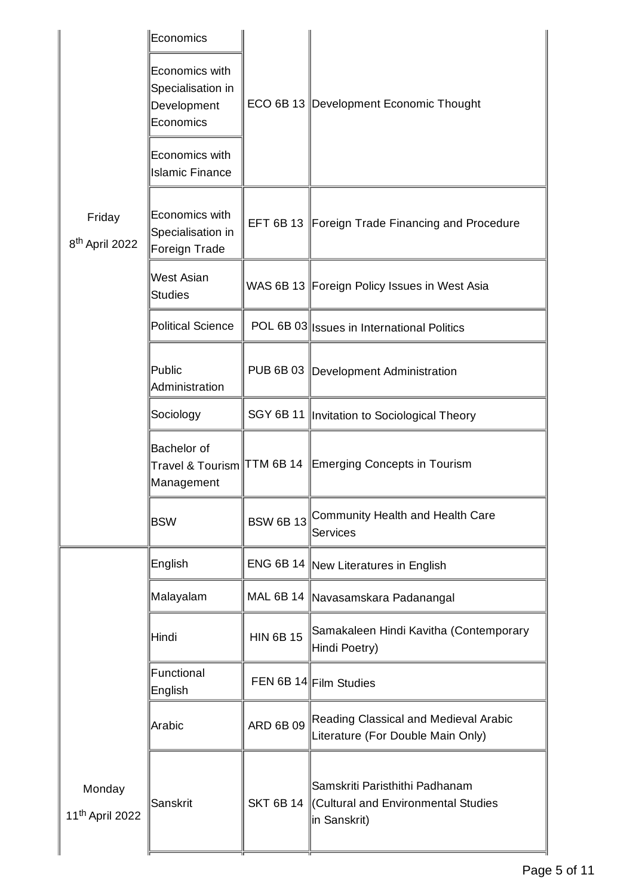|                                       | Economics                                                       |                  |                                                                                      |
|---------------------------------------|-----------------------------------------------------------------|------------------|--------------------------------------------------------------------------------------|
|                                       | Economics with<br>Specialisation in<br>Development<br>Economics |                  | ECO 6B 13 Development Economic Thought                                               |
|                                       | Economics with<br><b>Islamic Finance</b>                        |                  |                                                                                      |
| Friday<br>8 <sup>th</sup> April 2022  | Economics with<br>Specialisation in<br>Foreign Trade            |                  | EFT 6B 13 Foreign Trade Financing and Procedure                                      |
|                                       | <b>West Asian</b><br><b>Studies</b>                             |                  | WAS 6B 13 Foreign Policy Issues in West Asia                                         |
|                                       | <b>Political Science</b>                                        |                  | POL 6B 03  Issues in International Politics                                          |
|                                       | Public<br>Administration                                        |                  | PUB 6B 03   Development Administration                                               |
|                                       | Sociology                                                       |                  | SGY 6B 11   Invitation to Sociological Theory                                        |
|                                       | <b>Bachelor</b> of<br>Management                                |                  | Travel & Tourism TTM 6B 14 Emerging Concepts in Tourism                              |
|                                       | <b>BSW</b>                                                      | <b>BSW 6B13</b>  | Community Health and Health Care<br>Services                                         |
|                                       | English                                                         |                  | ENG 6B 14    New Literatures in English                                              |
|                                       | Malayalam                                                       |                  | MAL 6B 14   Navasamskara Padanangal                                                  |
|                                       | Hindi                                                           | <b>HIN 6B 15</b> | Samakaleen Hindi Kavitha (Contemporary<br>Hindi Poetry)                              |
|                                       | Functional<br>English                                           |                  | FEN 6B 14 Film Studies                                                               |
|                                       | Arabic                                                          | <b>ARD 6B 09</b> | Reading Classical and Medieval Arabic<br>Literature (For Double Main Only)           |
| Monday<br>11 <sup>th</sup> April 2022 | Sanskrit                                                        | <b>SKT 6B 14</b> | Samskriti Paristhithi Padhanam<br>Cultural and Environmental Studies<br>in Sanskrit) |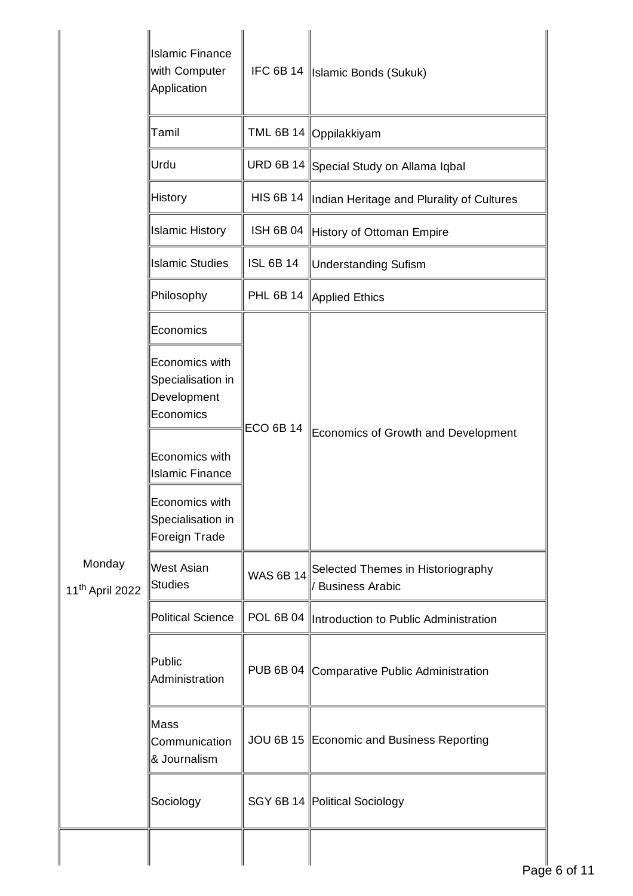|                                       | <b>Islamic Finance</b><br>with Computer<br>Application          |                  | IFC 6B 14   Islamic Bonds (Sukuk)                     |
|---------------------------------------|-----------------------------------------------------------------|------------------|-------------------------------------------------------|
|                                       | Tamil                                                           |                  | TML 6B 14 Oppilakkiyam                                |
|                                       | Urdu                                                            |                  | URD 6B 14 Special Study on Allama Iqbal               |
|                                       | <b>History</b>                                                  |                  | HIS 6B 14   Indian Heritage and Plurality of Cultures |
|                                       | <b>Islamic History</b>                                          | <b>ISH 6B 04</b> | History of Ottoman Empire                             |
|                                       | <b>Islamic Studies</b>                                          | <b>ISL 6B 14</b> | Understanding Sufism                                  |
|                                       | Philosophy                                                      |                  | PHL 6B 14   Applied Ethics                            |
|                                       | Economics                                                       |                  |                                                       |
|                                       | Economics with<br>Specialisation in<br>Development<br>Economics | <b>ECO 6B 14</b> | Economics of Growth and Development                   |
|                                       | Economics with<br><b>Islamic Finance</b>                        |                  |                                                       |
|                                       | Economics with<br>Specialisation in<br>Foreign Trade            |                  |                                                       |
| Monday<br>11 <sup>th</sup> April 2022 | West Asian<br>Studies                                           | WAS 6B 14        | Selected Themes in Historiography<br>Business Arabic  |
|                                       | Political Science                                               |                  | POL 6B 04   Introduction to Public Administration     |
|                                       | Public<br>Administration                                        |                  | PUB 6B 04 Comparative Public Administration           |
|                                       | Mass<br>Communication<br>& Journalism                           |                  | JOU 6B 15 Economic and Business Reporting             |
|                                       | Sociology                                                       |                  | SGY 6B 14 Political Sociology                         |
|                                       |                                                                 |                  |                                                       |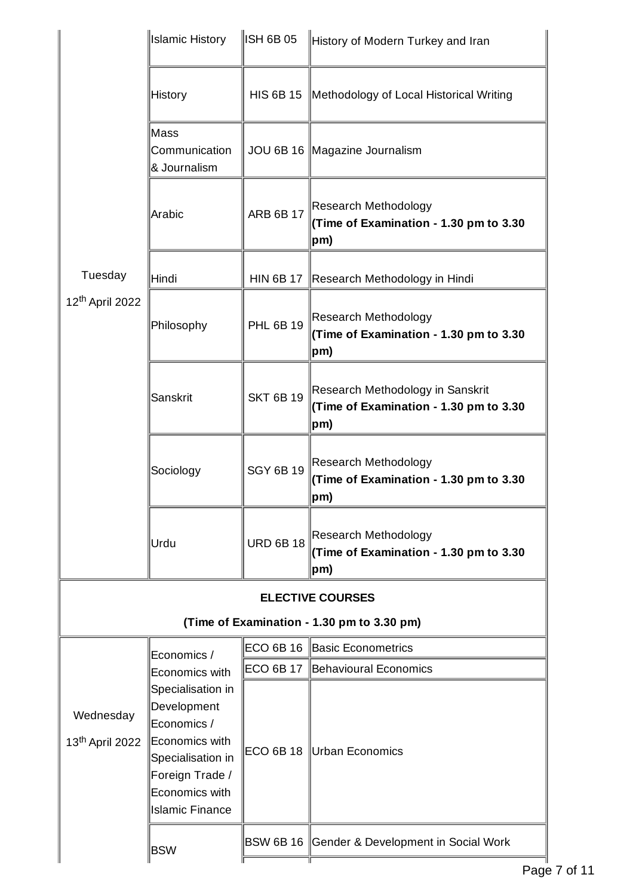|                                          | <b>Islamic History</b>                                                                                                                                | ISH 6B 05        | History of Modern Turkey and Iran                                                 |
|------------------------------------------|-------------------------------------------------------------------------------------------------------------------------------------------------------|------------------|-----------------------------------------------------------------------------------|
|                                          | History                                                                                                                                               | <b>HIS 6B 15</b> | Methodology of Local Historical Writing                                           |
|                                          | Mass<br>Communication<br>& Journalism                                                                                                                 |                  | JOU 6B 16   Magazine Journalism                                                   |
|                                          | Arabic                                                                                                                                                | <b>ARB 6B 17</b> | Research Methodology<br>(Time of Examination - 1.30 pm to 3.30<br>pm)             |
| Tuesday                                  | Hindi                                                                                                                                                 | <b>HIN 6B 17</b> | Research Methodology in Hindi                                                     |
| 12 <sup>th</sup> April 2022              | Philosophy                                                                                                                                            | <b>PHL 6B 19</b> | Research Methodology<br>(Time of Examination - 1.30 pm to 3.30<br>$ pm\rangle$    |
|                                          | Sanskrit                                                                                                                                              | <b>SKT 6B 19</b> | Research Methodology in Sanskrit<br>(Time of Examination - 1.30 pm to 3.30<br>pm) |
|                                          | Sociology                                                                                                                                             | <b>SGY 6B 19</b> | Research Methodology<br>(Time of Examination - 1.30 pm to 3.30<br>$ pm\rangle$    |
|                                          | Urdu                                                                                                                                                  | <b>URD 6B 18</b> | Research Methodology<br>(Time of Examination - 1.30 pm to 3.30<br>$ pm\rangle$    |
|                                          |                                                                                                                                                       |                  | <b>ELECTIVE COURSES</b>                                                           |
|                                          |                                                                                                                                                       |                  | (Time of Examination - 1.30 pm to 3.30 pm)                                        |
|                                          | Economics /                                                                                                                                           | ECO 6B 16        | Basic Econometrics                                                                |
|                                          | Economics with                                                                                                                                        |                  | ECO 6B 17 Behavioural Economics                                                   |
| Wednesday<br>13 <sup>th</sup> April 2022 | Specialisation in<br>Development<br>Economics /<br>Economics with<br>Specialisation in<br>Foreign Trade /<br>Economics with<br><b>Islamic Finance</b> |                  | ECO 6B 18 Urban Economics                                                         |
|                                          | <b>BSW</b>                                                                                                                                            |                  | BSW 6B 16 Gender & Development in Social Work                                     |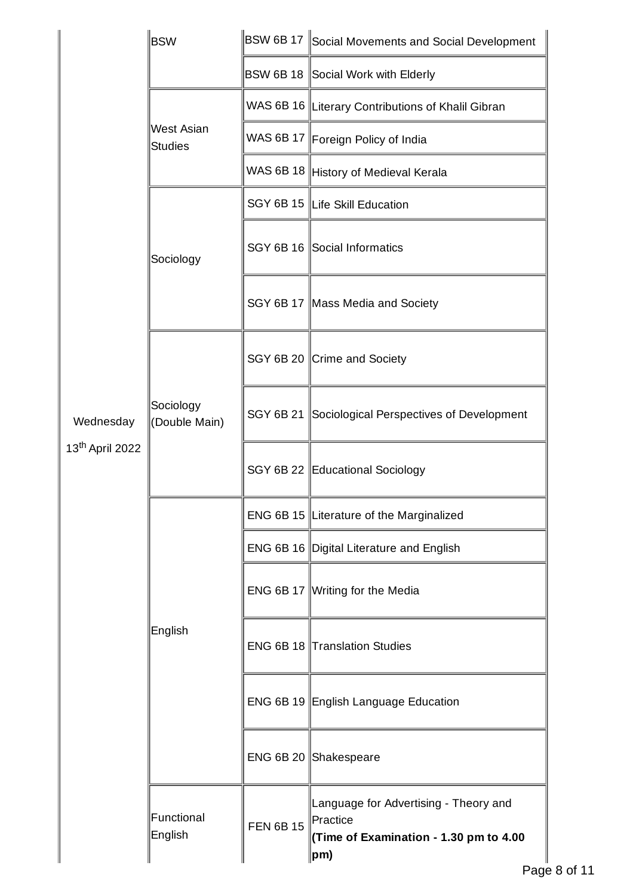|                                          | <b>BSW</b>                   |           | $ \texttt{BSW 6B 17} $ Social Movements and Social Development                                              |
|------------------------------------------|------------------------------|-----------|-------------------------------------------------------------------------------------------------------------|
|                                          |                              |           | BSW 6B 18 Social Work with Elderly                                                                          |
|                                          | <b>West Asian</b><br>Studies |           | WAS 6B 16  Literary Contributions of Khalil Gibran                                                          |
|                                          |                              |           | WAS 6B 17 Foreign Policy of India                                                                           |
|                                          |                              |           | WAS 6B 18 History of Medieval Kerala                                                                        |
|                                          |                              |           | SGY 6B 15 Life Skill Education                                                                              |
|                                          | Sociology                    |           | SGY 6B 16 Social Informatics                                                                                |
|                                          |                              |           | SGY 6B 17 Mass Media and Society                                                                            |
|                                          | Sociology<br>(Double Main)   |           | SGY 6B 20 Crime and Society                                                                                 |
| Wednesday<br>13 <sup>th</sup> April 2022 |                              |           | SGY 6B 21 Sociological Perspectives of Development                                                          |
|                                          |                              |           | SGY 6B 22 Educational Sociology                                                                             |
|                                          | English                      |           | ENG 6B 15 Literature of the Marginalized                                                                    |
|                                          |                              |           | ENG 6B 16 Digital Literature and English                                                                    |
|                                          |                              |           | ENG 6B 17 Writing for the Media                                                                             |
|                                          |                              |           | ENG 6B 18 Translation Studies                                                                               |
|                                          |                              |           | ENG 6B 19 English Language Education                                                                        |
|                                          |                              |           | ENG 6B 20 Shakespeare                                                                                       |
|                                          | Functional<br>English        | FEN 6B 15 | Language for Advertising - Theory and<br>Practice<br>(Time of Examination - 1.30 pm to 4.00<br>$ {\sf pm})$ |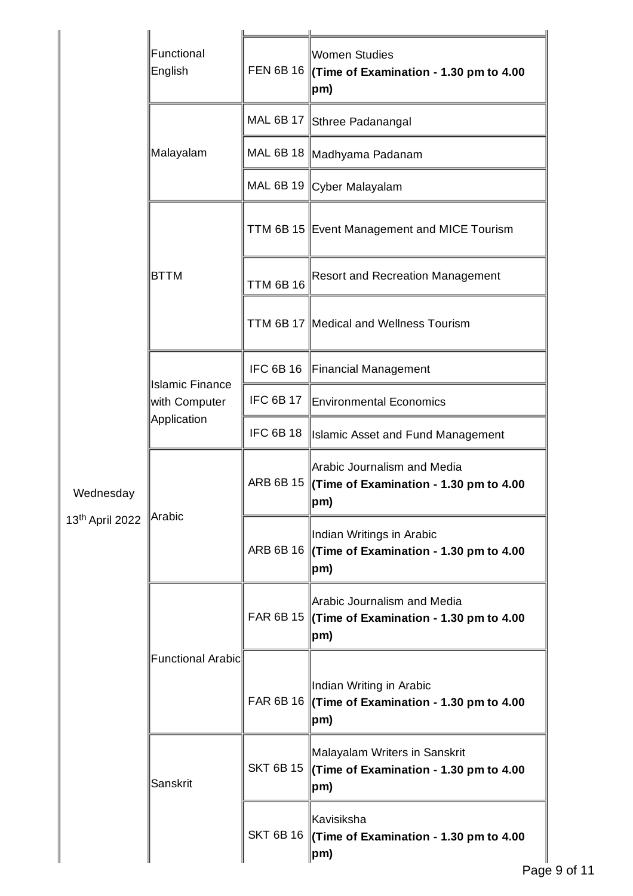|                                                            | Functional<br>English                   |                  | Women Studies<br>FEN 6B 16 $\parallel$ (Time of Examination - 1.30 pm to 4.00<br>$ pm\rangle$               |
|------------------------------------------------------------|-----------------------------------------|------------------|-------------------------------------------------------------------------------------------------------------|
|                                                            |                                         |                  | MAL 6B 17 Sthree Padanangal                                                                                 |
|                                                            | Malayalam                               |                  | MAL 6B 18   Madhyama Padanam                                                                                |
|                                                            |                                         |                  | MAL 6B 19 Cyber Malayalam                                                                                   |
|                                                            |                                         |                  | TTM 6B 15 Event Management and MICE Tourism                                                                 |
|                                                            | <b>BTTM</b>                             | <b>TTM 6B 16</b> | <b>Resort and Recreation Management</b>                                                                     |
|                                                            |                                         |                  | TTM 6B 17   Medical and Wellness Tourism                                                                    |
|                                                            |                                         | <b>IFC 6B 16</b> | Financial Management                                                                                        |
|                                                            | <b>Islamic Finance</b><br>with Computer | <b>IFC 6B 17</b> | Environmental Economics                                                                                     |
|                                                            | Application                             | <b>IFC 6B 18</b> | Islamic Asset and Fund Management                                                                           |
| Wednesday<br>13 <sup>th</sup> April 2022 <sup>Arabic</sup> |                                         |                  | Arabic Journalism and Media<br>ARB 6B 15 $\parallel$ (Time of Examination - 1.30 pm to 4.00<br>$ pm\rangle$ |
|                                                            |                                         |                  | Indian Writings in Arabic<br>ARB 6B 16 $\parallel$ (Time of Examination - 1.30 pm to 4.00<br>$ pm\rangle$   |
|                                                            |                                         |                  | Arabic Journalism and Media<br>FAR 6B 15 $\parallel$ (Time of Examination - 1.30 pm to 4.00<br>$ pm\rangle$ |
|                                                            | Functional Arabic                       |                  | Indian Writing in Arabic<br>FAR 6B 16 $\parallel$ (Time of Examination - 1.30 pm to 4.00<br>$ pm\rangle$    |
|                                                            | Sanskrit                                | <b>SKT 6B 15</b> | Malayalam Writers in Sanskrit<br>$\Vert$ (Time of Examination - 1.30 pm to 4.00<br>$ pm\rangle$             |
|                                                            |                                         |                  | Kavisiksha<br>SKT 6B 16 $\parallel$ (Time of Examination - 1.30 pm to 4.00<br>$ pm\rangle$                  |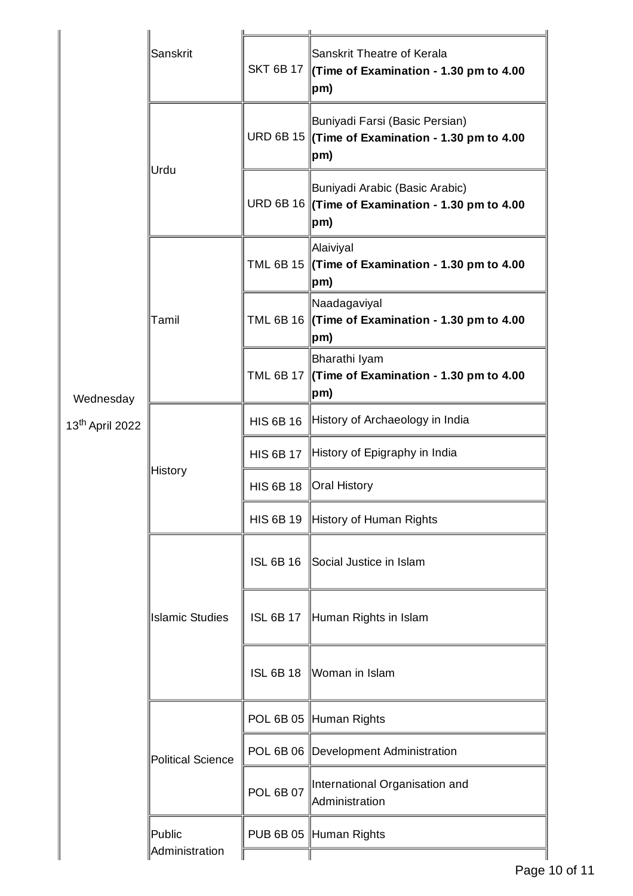|                             | Sanskrit                 |                  |                                                                                                                |
|-----------------------------|--------------------------|------------------|----------------------------------------------------------------------------------------------------------------|
|                             |                          | <b>SKT 6B 17</b> | Sanskrit Theatre of Kerala<br>$\Vert$ (Time of Examination - 1.30 pm to 4.00<br>$ pm\rangle$                   |
|                             | Urdu                     |                  | Buniyadi Farsi (Basic Persian)<br>URD 6B 15 $\parallel$ (Time of Examination - 1.30 pm to 4.00<br>$ pm\rangle$ |
|                             |                          |                  | Buniyadi Arabic (Basic Arabic)<br>URD 6B 16 (Time of Examination - 1.30 pm to 4.00<br>pm)                      |
|                             |                          |                  | Alaiviyal<br>TML 6B 15 $\vert$ (Time of Examination - 1.30 pm to 4.00<br>$ {\sf pm})$                          |
|                             | Tamil                    |                  | Naadagaviyal<br>TML 6B 16 (Time of Examination - 1.30 pm to 4.00<br>pm)                                        |
| Wednesday                   |                          |                  | Bharathi Iyam<br>TML 6B 17 $\parallel$ (Time of Examination - 1.30 pm to 4.00<br>pm)                           |
| 13 <sup>th</sup> April 2022 | <b>History</b>           | <b>HIS 6B 16</b> | History of Archaeology in India                                                                                |
|                             |                          | <b>HIS 6B 17</b> | History of Epigraphy in India                                                                                  |
|                             |                          | <b>HIS 6B 18</b> | Oral History                                                                                                   |
|                             |                          |                  | HIS 6B 19 History of Human Rights                                                                              |
|                             | <b>Islamic Studies</b>   | <b>ISL 6B 16</b> | Social Justice in Islam                                                                                        |
|                             |                          | <b>ISL 6B 17</b> | Human Rights in Islam                                                                                          |
|                             |                          | <b>ISL 6B 18</b> | Woman in Islam                                                                                                 |
|                             |                          |                  | POL 6B 05 Human Rights                                                                                         |
|                             | Political Science        |                  | POL 6B 06  Development Administration                                                                          |
|                             |                          | <b>POL 6B 07</b> | International Organisation and<br>Administration                                                               |
|                             | Public<br>Administration |                  | PUB 6B 05 Human Rights                                                                                         |
|                             |                          |                  |                                                                                                                |